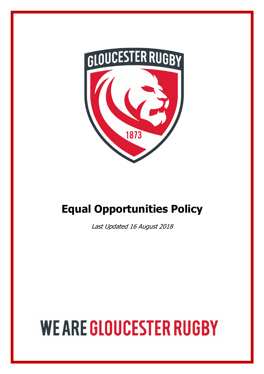

# **Equal Opportunities Policy**

Last Updated 16 August 2018

# **WE ARE GLOUCESTER RUGBY**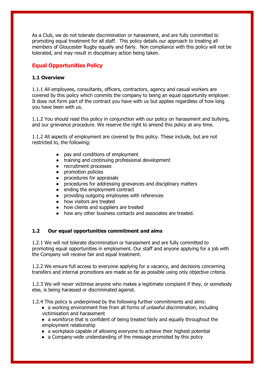As a Club, we do not tolerate discrimination or harassment, and are fully committed to promoting equal treatment for all staff. This policy details our approach to treating all members of Gloucester Rugby equally and fairly. Non compliance with this policy will not be tolerated, and may result in disciplinary action being taken.

## **Equal Opportunities Policy**

### **1.1 Overview**

1.1.1 All employees, consultants, officers, contractors, agency and casual workers are covered by this policy which commits the company to being an equal opportunity employer. It does not form part of the contract you have with us but applies regardless of how long you have been with us.

1.1.2 You should read this policy in conjunction with our policy on harassment and bullying, and our grievance procedure. We reserve the right to amend this policy at any time.

1.1.2 All aspects of employment are covered by this policy. These include, but are not restricted to, the following:

- pay and conditions of employment
- training and continuing professional development
- recruitment processes
- promotion policies
- procedures for appraisals
- procedures for addressing grievances and disciplinary matters
- ending the employment contract
- providing outgoing employees with references
- how visitors are treated
- how clients and suppliers are treated
- how any other business contacts and associates are treated.

#### **1.2 Our equal opportunities commitment and aims**

1.2.1 We will not tolerate discrimination or harassment and are fully committed to promoting equal opportunities in employment. Our staff and anyone applying for a job with the Company will receive fair and equal treatment.

1.2.2 We ensure full access to everyone applying for a vacancy, and decisions concerning transfers and internal promotions are made so far as possible using only objective criteria.

1.2.3 We will never victimise anyone who makes a legitimate complaint if they, or somebody else, is being harassed or discriminated against.

1.2.4 This policy is underpinned by the following further commitments and aims:

- a working environment free from all forms of unlawful discrimination, including victimisation and harassment
- a workforce that is confident of being treated fairly and equally throughout the employment relationship
- a workplace capable of allowing everyone to achieve their highest potential
- a Company-wide understanding of the message promoted by this policy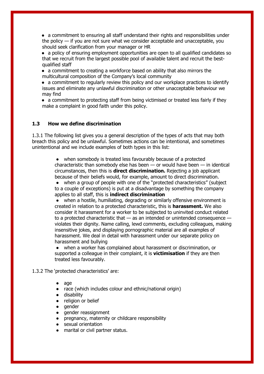• a commitment to ensuring all staff understand their rights and responsibilities under the policy — if you are not sure what we consider acceptable and unacceptable, you should seek clarification from your manager or HR

• a policy of ensuring employment opportunities are open to all qualified candidates so that we recruit from the largest possible pool of available talent and recruit the bestqualified staff

• a commitment to creating a workforce based on ability that also mirrors the multicultural composition of the Company's local community

• a commitment to regularly review this policy and our workplace practices to identify issues and eliminate any unlawful discrimination or other unacceptable behaviour we may find

• a commitment to protecting staff from being victimised or treated less fairly if they make a complaint in good faith under this policy.

#### **1.3 How we define discrimination**

1.3.1 The following list gives you a general description of the types of acts that may both breach this policy and be unlawful. Sometimes actions can be intentional, and sometimes unintentional and we include examples of both types in this list:

> ● when somebody is treated less favourably because of a protected characteristic than somebody else has been  $-$  or would have been  $-$  in identical circumstances, then this is **direct discrimination.** Rejecting a job applicant because of their beliefs would, for example, amount to direct discrimination.

● when a group of people with one of the "protected characteristics" (subject to a couple of exceptions) is put at a disadvantage by something the company applies to all staff, this is **indirect discrimination**

● when a hostile, humiliating, degrading or similarly offensive environment is created in relation to a protected characteristic, this is **harassment.** We also consider it harassment for a worker to be subjected to uninvited conduct related to a protected characteristic that — as an intended or unintended consequence violates their dignity. Name calling, lewd comments, excluding colleagues, making insensitive jokes, and displaying pornographic material are all examples of harassment. We deal in detail with harassment under our separate policy on harassment and bullying

● when a worker has complained about harassment or discrimination, or supported a colleague in their complaint, it is **victimisation** if they are then treated less favourably.

#### 1.3.2 The 'protected characteristics' are:

- age
- race (which includes colour and ethnic/national origin)
- disability
- religion or belief
- aender
- gender reassignment
- pregnancy, maternity or childcare responsibility
- sexual orientation
- marital or civil partner status.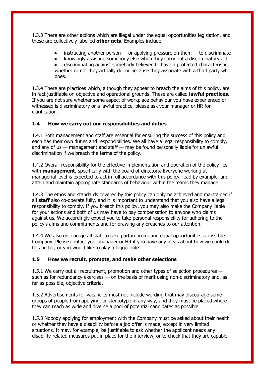1.3.3 There are other actions which are illegal under the equal opportunities legislation, and these are collectively labelled **other acts**. Examples include:

- $\bullet$  instructing another person  $-$  or applying pressure on them  $-$  to discriminate
- knowingly assisting somebody else when they carry out a discriminatory act
- discriminating against somebody believed to have a protected characteristic, whether or not they actually do, or because they associate with a third party who does.

1.3.4 There are practices which, although they appear to breach the aims of this policy, are in fact justifiable on objective and operational grounds. These are called **lawful practices**. If you are not sure whether some aspect of workplace behaviour you have experienced or witnessed is discriminatory or a lawful practice, please ask your manager or HR for clarification.

#### **1.4 How we carry out our responsibilities and duties**

1.4.1 Both management and staff are essential for ensuring the success of this policy and each has their own duties and responsibilities. We all have a legal responsibility to comply, and any of us — management and staff — may be found personally liable for unlawful discrimination if we breach the terms of the policy.

1.4.2 Overall responsibility for the effective implementation and operation of the policy lies with **management**, specifically with the board of directors**.** Everyone working at managerial level is expected to act in full accordance with this policy, lead by example, and attain and maintain appropriate standards of behaviour within the teams they manage.

1.4.3 The ethos and standards covered by this policy can only be achieved and maintained if all **staff** also co-operate fully, and it is important to understand that you also have a legal responsibility to comply. If you breach this policy, you may also make the Company liable for your actions and both of us may have to pay compensation to anyone who claims against us. We accordingly expect you to take personal responsibility for adhering to the policy's aims and commitments and for drawing any breaches to our attention.

1.4.4 We also encourage all staff to take part in promoting equal opportunities across the Company. Please contact your manager or HR if you have any ideas about how we could do this better, or you would like to play a bigger role.

#### **1.5 How we recruit, promote, and make other selections**

1.5.1 We carry out all recruitment, promotion and other types of selection procedures such as for redundancy exercises — on the basis of merit using non-discriminatory and, as far as possible, objective criteria.

1.5.2 Advertisements for vacancies must not include wording that may discourage some groups of people from applying, or stereotype in any way, and they must be placed where they can reach as wide and diverse a pool of potential candidates as possible.

1.5.3 Nobody applying for employment with the Company must be asked about their health or whether they have a disability before a job offer is made, except in very limited situations. It may, for example, be justifiable to ask whether the applicant needs any disability-related measures put in place for the interview, or to check that they are capable